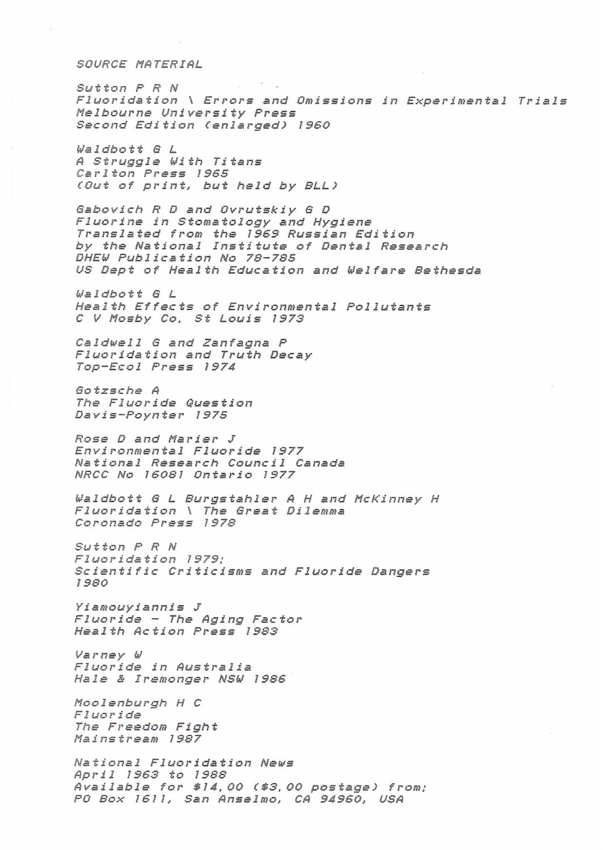SOURCE MATERIAL

Sutton P R N Fluoridation \ Errors and Omissions in Experimental Trials Melbourne University Press Second Edition (enlarged) 1960

Waldbott G L A Struggle With Titans Carlton Press 1965 (Out of print, but held by BLL)

Gabovich R D and Ovrutskiy G D Fluorine in Stomatology and Hygiene Translated from the 1969 Russian Edition by the National Institute of Dental Research DHEW Publication No 78-785 US Dept of Health Education and Welfare Bethesda

Waldbott G L Health Effects of Environmental Pollutants C V Mosby Co, St Louis 1973

Caldwell G and Zanfagna P Fluoridation and Truth Decay Top-Ecol Press 1974

Gotzsche A The Fluoride Question Davis-Poynter 1975

Rose D and Marier J Environmental Fluoride 1977 National Research Council Canada NRCC No 16081 Ontario 1977

Waldbott G L Burgstahler A H and McKinney H Fluoridation \ The Great Dilemma Coronado Press 1978

Sutton P R N Fluoridation 1979: Scientific Criticisms and Fluoride Dangers 1980

Yiamouyiannis J Fluoride - The Aging Factor Health Action Press 1983

Varney W Fluoride in Australia Hale & Iremonger NSW 1986

Moolenburgh H C Fluoride The Freedom Fight Mainstream 1987

National Fluoridation News April 1963 to 1988 Available for \$14,00 (\$3,00 postage) from: PO Box 1611, San Anselmo, CA 94960, USA